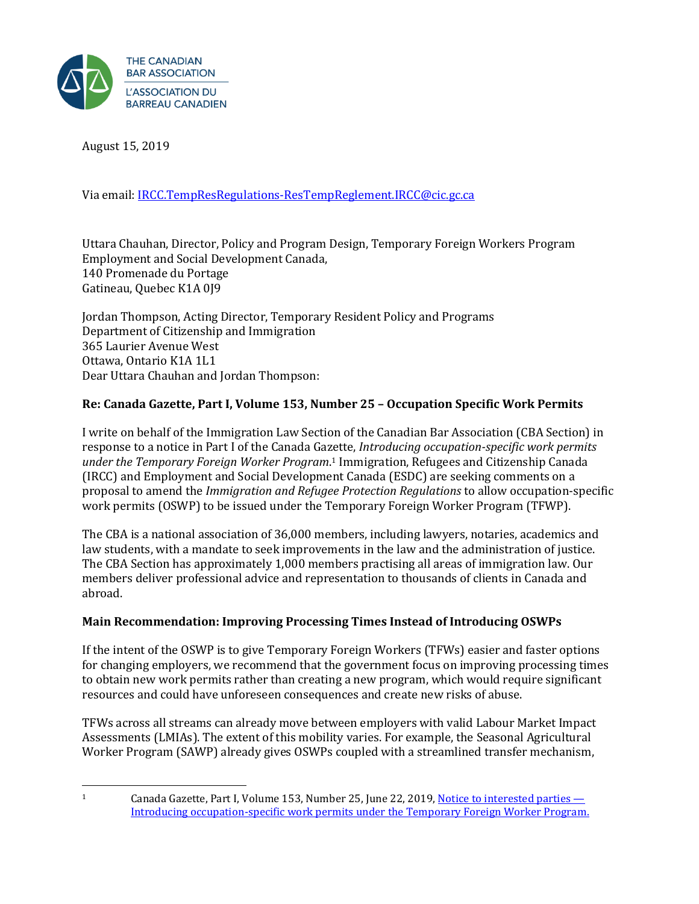

August 15, 2019

Via email[: IRCC.TempResRegulations-ResTempReglement.IRCC@cic.gc.ca](mailto:IRCC.TempResRegulations-ResTempReglement.IRCC@cic.gc.ca)

Uttara Chauhan, Director, Policy and Program Design, Temporary Foreign Workers Program Employment and Social Development Canada, 140 Promenade du Portage Gatineau, Quebec K1A 0J9

Jordan Thompson, Acting Director, Temporary Resident Policy and Programs Department of Citizenship and Immigration 365 Laurier Avenue West Ottawa, Ontario K1A 1L1 Dear Uttara Chauhan and Jordan Thompson:

### **Re: Canada Gazette, Part I, Volume 153, Number 25 – Occupation Specific Work Permits**

I write on behalf of the Immigration Law Section of the Canadian Bar Association (CBA Section) in response to a notice in Part I of the Canada Gazette, *Introducing occupation-specific work permits under the Temporary Foreign Worker Program*. <sup>1</sup> Immigration, Refugees and Citizenship Canada (IRCC) and Employment and Social Development Canada (ESDC) are seeking comments on a proposal to amend the *Immigration and Refugee Protection Regulations* to allow occupation-specific work permits (OSWP) to be issued under the Temporary Foreign Worker Program (TFWP).

The CBA is a national association of 36,000 members, including lawyers, notaries, academics and law students, with a mandate to seek improvements in the law and the administration of justice. The CBA Section has approximately 1,000 members practising all areas of immigration law. Our members deliver professional advice and representation to thousands of clients in Canada and abroad.

#### **Main Recommendation: Improving Processing Times Instead of Introducing OSWPs**

If the intent of the OSWP is to give Temporary Foreign Workers (TFWs) easier and faster options for changing employers, we recommend that the government focus on improving processing times to obtain new work permits rather than creating a new program, which would require significant resources and could have unforeseen consequences and create new risks of abuse.

TFWs across all streams can already move between employers with valid Labour Market Impact Assessments (LMIAs). The extent of this mobility varies. For example, the Seasonal Agricultural Worker Program (SAWP) already gives OSWPs coupled with a streamlined transfer mechanism,

<sup>&</sup>lt;sup>1</sup> Canada Gazette, Part I, Volume 153, Number 25, June 22, 2019[, Notice to interested parties](http://www.gazette.gc.ca/rp-pr/p1/2019/2019-06-22/html/notice-avis-eng.html#nc2) — [Introducing occupation-specific work permits under the Temporary Foreign Worker Program.](http://www.gazette.gc.ca/rp-pr/p1/2019/2019-06-22/html/notice-avis-eng.html#nc2)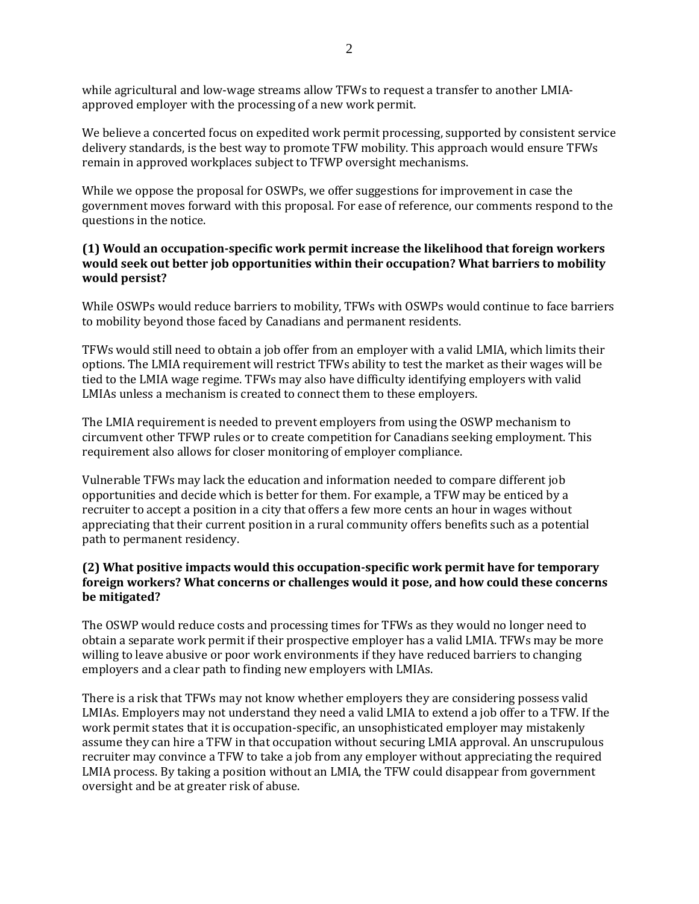while agricultural and low-wage streams allow TFWs to request a transfer to another LMIAapproved employer with the processing of a new work permit.

We believe a concerted focus on expedited work permit processing, supported by consistent service delivery standards, is the best way to promote TFW mobility. This approach would ensure TFWs remain in approved workplaces subject to TFWP oversight mechanisms.

While we oppose the proposal for OSWPs, we offer suggestions for improvement in case the government moves forward with this proposal. For ease of reference, our comments respond to the questions in the notice.

#### **(1) Would an occupation-specific work permit increase the likelihood that foreign workers would seek out better job opportunities within their occupation? What barriers to mobility would persist?**

While OSWPs would reduce barriers to mobility, TFWs with OSWPs would continue to face barriers to mobility beyond those faced by Canadians and permanent residents.

TFWs would still need to obtain a job offer from an employer with a valid LMIA, which limits their options. The LMIA requirement will restrict TFWs ability to test the market as their wages will be tied to the LMIA wage regime. TFWs may also have difficulty identifying employers with valid LMIAs unless a mechanism is created to connect them to these employers.

The LMIA requirement is needed to prevent employers from using the OSWP mechanism to circumvent other TFWP rules or to create competition for Canadians seeking employment. This requirement also allows for closer monitoring of employer compliance.

Vulnerable TFWs may lack the education and information needed to compare different job opportunities and decide which is better for them. For example, a TFW may be enticed by a recruiter to accept a position in a city that offers a few more cents an hour in wages without appreciating that their current position in a rural community offers benefits such as a potential path to permanent residency.

#### **(2) What positive impacts would this occupation-specific work permit have for temporary foreign workers? What concerns or challenges would it pose, and how could these concerns be mitigated?**

The OSWP would reduce costs and processing times for TFWs as they would no longer need to obtain a separate work permit if their prospective employer has a valid LMIA. TFWs may be more willing to leave abusive or poor work environments if they have reduced barriers to changing employers and a clear path to finding new employers with LMIAs.

There is a risk that TFWs may not know whether employers they are considering possess valid LMIAs. Employers may not understand they need a valid LMIA to extend a job offer to a TFW. If the work permit states that it is occupation-specific, an unsophisticated employer may mistakenly assume they can hire a TFW in that occupation without securing LMIA approval. An unscrupulous recruiter may convince a TFW to take a job from any employer without appreciating the required LMIA process. By taking a position without an LMIA, the TFW could disappear from government oversight and be at greater risk of abuse.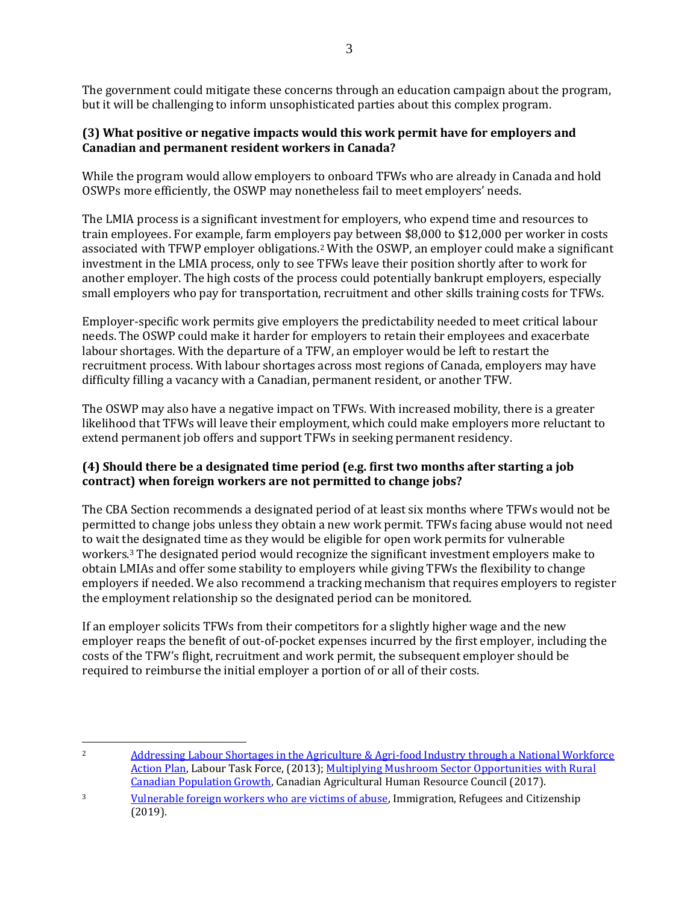The government could mitigate these concerns through an education campaign about the program, but it will be challenging to inform unsophisticated parties about this complex program.

### **(3) What positive or negative impacts would this work permit have for employers and Canadian and permanent resident workers in Canada?**

While the program would allow employers to onboard TFWs who are already in Canada and hold OSWPs more efficiently, the OSWP may nonetheless fail to meet employers' needs.

The LMIA process is a significant investment for employers, who expend time and resources to train employees. For example, farm employers pay between \$8,000 to \$12,000 per worker in costs associated with TFWP employer obligations. <sup>2</sup> With the OSWP, an employer could make a significant investment in the LMIA process, only to see TFWs leave their position shortly after to work for another employer. The high costs of the process could potentially bankrupt employers, especially small employers who pay for transportation, recruitment and other skills training costs for TFWs.

Employer-specific work permits give employers the predictability needed to meet critical labour needs. The OSWP could make it harder for employers to retain their employees and exacerbate labour shortages. With the departure of a TFW, an employer would be left to restart the recruitment process. With labour shortages across most regions of Canada, employers may have difficulty filling a vacancy with a Canadian, permanent resident, or another TFW.

The OSWP may also have a negative impact on TFWs. With increased mobility, there is a greater likelihood that TFWs will leave their employment, which could make employers more reluctant to extend permanent job offers and support TFWs in seeking permanent residency.

## **(4) Should there be a designated time period (e.g. first two months after starting a job contract) when foreign workers are not permitted to change jobs?**

The CBA Section recommends a designated period of at least six months where TFWs would not be permitted to change jobs unless they obtain a new work permit. TFWs facing abuse would not need to wait the designated time as they would be eligible for open work permits for vulnerable workers.<sup>3</sup> The designated period would recognize the significant investment employers make to obtain LMIAs and offer some stability to employers while giving TFWs the flexibility to change employers if needed. We also recommend a tracking mechanism that requires employers to register the employment relationship so the designated period can be monitored.

If an employer solicits TFWs from their competitors for a slightly higher wage and the new employer reaps the benefit of out-of-pocket expenses incurred by the first employer, including the costs of the TFW's flight, recruitment and work permit, the subsequent employer should be required to reimburse the initial employer a portion of or all of their costs.

<sup>&</sup>lt;sup>2</sup> Addressing Labour Shortages in the Agriculture & Agri-food Industry through a National Workforce [Action Plan,](https://cahrc-ccrha.ca/sites/default/files/RevisedAgAgrifoodWorkforceActionPlan-EN-Feb132015.pdf) Labour Task Force, (2013); [Multiplying Mushroom Sector Opportunities with Rural](https://cahrc-ccrha.ca/sites/default/files/Emerging-Issues-Research/Multiplying%20Mushroom%20Sector%20Opportunities%20with%20Rural%20Cdn%20Growth.pdf)  [Canadian Population Growth,](https://cahrc-ccrha.ca/sites/default/files/Emerging-Issues-Research/Multiplying%20Mushroom%20Sector%20Opportunities%20with%20Rural%20Cdn%20Growth.pdf) Canadian Agricultural Human Resource Council (2017).

<sup>3</sup> [Vulnerable foreign workers who are victims of abuse,](https://www.canada.ca/en/immigration-refugees-citizenship/services/work-canada/permit/temporary/vulnerable-workers.html) Immigration, Refugees and Citizenship (2019).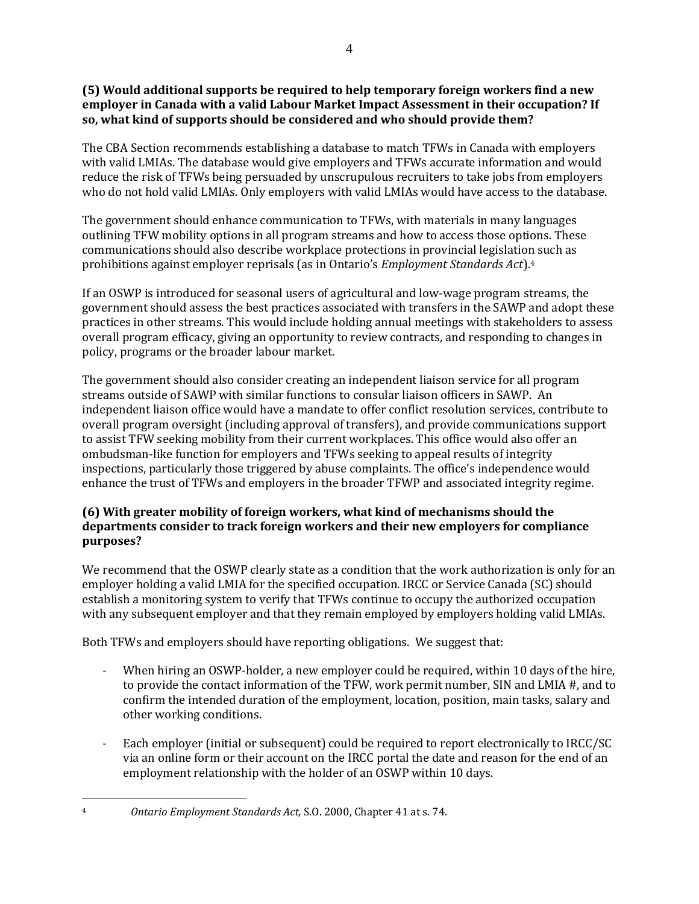### **(5) Would additional supports be required to help temporary foreign workers find a new employer in Canada with a valid Labour Market Impact Assessment in their occupation? If so, what kind of supports should be considered and who should provide them?**

The CBA Section recommends establishing a database to match TFWs in Canada with employers with valid LMIAs. The database would give employers and TFWs accurate information and would reduce the risk of TFWs being persuaded by unscrupulous recruiters to take jobs from employers who do not hold valid LMIAs. Only employers with valid LMIAs would have access to the database.

The government should enhance communication to TFWs, with materials in many languages outlining TFW mobility options in all program streams and how to access those options. These communications should also describe workplace protections in provincial legislation such as prohibitions against employer reprisals (as in Ontario's *Employment Standards Act*).<sup>4</sup>

If an OSWP is introduced for seasonal users of agricultural and low-wage program streams, the government should assess the best practices associated with transfers in the SAWP and adopt these practices in other streams. This would include holding annual meetings with stakeholders to assess overall program efficacy, giving an opportunity to review contracts, and responding to changes in policy, programs or the broader labour market.

The government should also consider creating an independent liaison service for all program streams outside of SAWP with similar functions to consular liaison officers in SAWP. An independent liaison office would have a mandate to offer conflict resolution services, contribute to overall program oversight (including approval of transfers), and provide communications support to assist TFW seeking mobility from their current workplaces. This office would also offer an ombudsman-like function for employers and TFWs seeking to appeal results of integrity inspections, particularly those triggered by abuse complaints. The office's independence would enhance the trust of TFWs and employers in the broader TFWP and associated integrity regime.

## **(6) With greater mobility of foreign workers, what kind of mechanisms should the departments consider to track foreign workers and their new employers for compliance purposes?**

We recommend that the OSWP clearly state as a condition that the work authorization is only for an employer holding a valid LMIA for the specified occupation. IRCC or Service Canada (SC) should establish a monitoring system to verify that TFWs continue to occupy the authorized occupation with any subsequent employer and that they remain employed by employers holding valid LMIAs.

Both TFWs and employers should have reporting obligations. We suggest that:

- When hiring an OSWP-holder, a new employer could be required, within 10 days of the hire, to provide the contact information of the TFW, work permit number, SIN and LMIA #, and to confirm the intended duration of the employment, location, position, main tasks, salary and other working conditions.
- Each employer (initial or subsequent) could be required to report electronically to IRCC/SC via an online form or their account on the IRCC portal the date and reason for the end of an employment relationship with the holder of an OSWP within 10 days.

<sup>4</sup> *Ontario Employment Standards Act,* S.O. 2000, Chapter 41 at s. 74.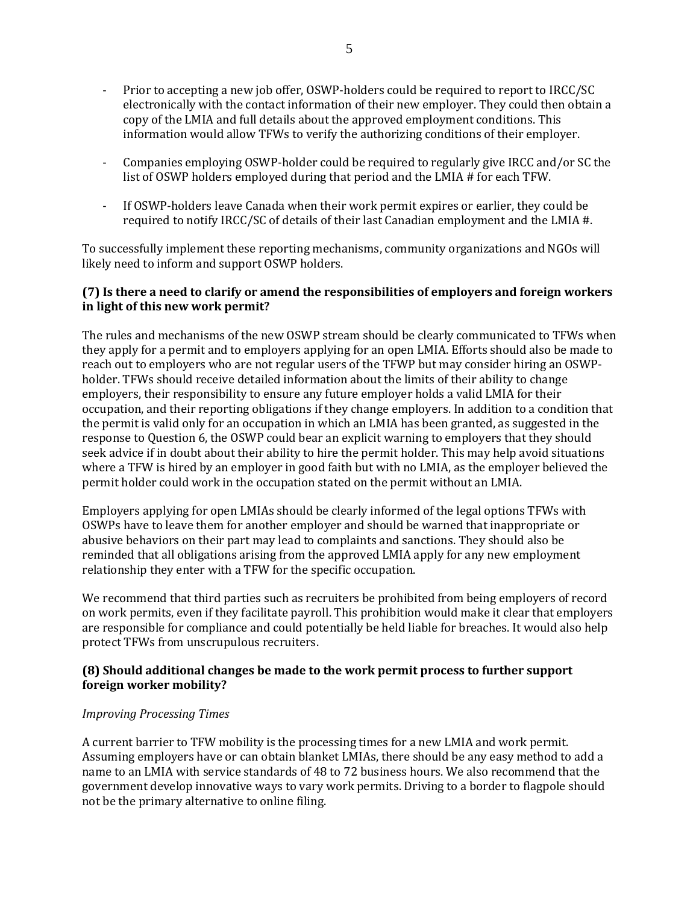- Prior to accepting a new job offer, OSWP-holders could be required to report to IRCC/SC electronically with the contact information of their new employer. They could then obtain a copy of the LMIA and full details about the approved employment conditions. This information would allow TFWs to verify the authorizing conditions of their employer.
- Companies employing OSWP-holder could be required to regularly give IRCC and/or SC the list of OSWP holders employed during that period and the LMIA # for each TFW.
- If OSWP-holders leave Canada when their work permit expires or earlier, they could be required to notify IRCC/SC of details of their last Canadian employment and the LMIA #.

To successfully implement these reporting mechanisms, community organizations and NGOs will likely need to inform and support OSWP holders.

#### **(7) Is there a need to clarify or amend the responsibilities of employers and foreign workers in light of this new work permit?**

The rules and mechanisms of the new OSWP stream should be clearly communicated to TFWs when they apply for a permit and to employers applying for an open LMIA. Efforts should also be made to reach out to employers who are not regular users of the TFWP but may consider hiring an OSWPholder. TFWs should receive detailed information about the limits of their ability to change employers, their responsibility to ensure any future employer holds a valid LMIA for their occupation, and their reporting obligations if they change employers. In addition to a condition that the permit is valid only for an occupation in which an LMIA has been granted, as suggested in the response to Question 6, the OSWP could bear an explicit warning to employers that they should seek advice if in doubt about their ability to hire the permit holder. This may help avoid situations where a TFW is hired by an employer in good faith but with no LMIA, as the employer believed the permit holder could work in the occupation stated on the permit without an LMIA.

Employers applying for open LMIAs should be clearly informed of the legal options TFWs with OSWPs have to leave them for another employer and should be warned that inappropriate or abusive behaviors on their part may lead to complaints and sanctions. They should also be reminded that all obligations arising from the approved LMIA apply for any new employment relationship they enter with a TFW for the specific occupation.

We recommend that third parties such as recruiters be prohibited from being employers of record on work permits, even if they facilitate payroll. This prohibition would make it clear that employers are responsible for compliance and could potentially be held liable for breaches. It would also help protect TFWs from unscrupulous recruiters.

#### **(8) Should additional changes be made to the work permit process to further support foreign worker mobility?**

#### *Improving Processing Times*

A current barrier to TFW mobility is the processing times for a new LMIA and work permit. Assuming employers have or can obtain blanket LMIAs, there should be any easy method to add a name to an LMIA with service standards of 48 to 72 business hours. We also recommend that the government develop innovative ways to vary work permits. Driving to a border to flagpole should not be the primary alternative to online filing.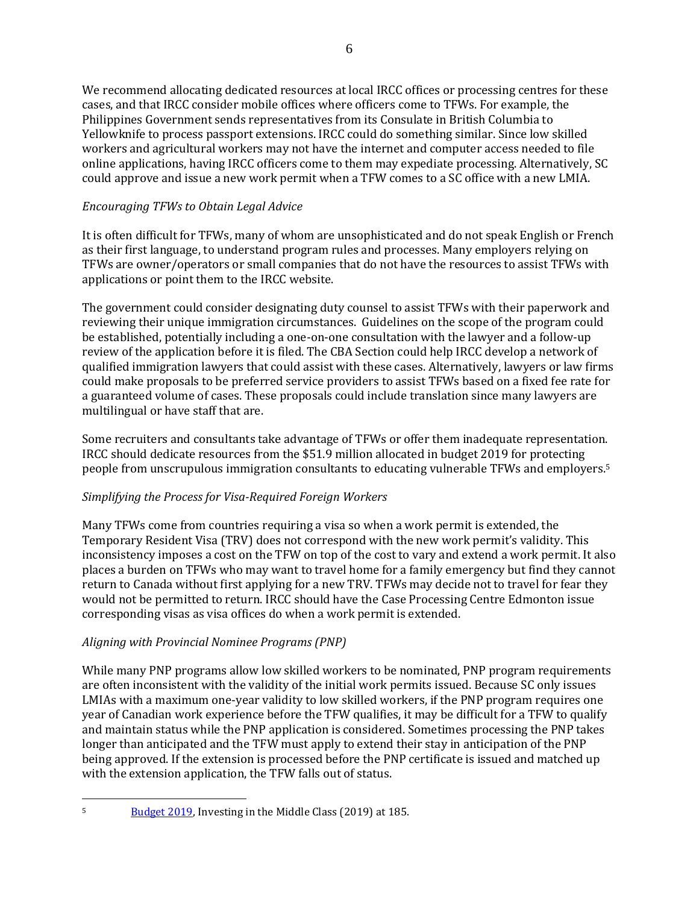We recommend allocating dedicated resources at local IRCC offices or processing centres for these cases, and that IRCC consider mobile offices where officers come to TFWs. For example, the Philippines Government sends representatives from its Consulate in British Columbia to Yellowknife to process passport extensions. IRCC could do something similar. Since low skilled workers and agricultural workers may not have the internet and computer access needed to file online applications, having IRCC officers come to them may expediate processing. Alternatively, SC could approve and issue a new work permit when a TFW comes to a SC office with a new LMIA.

## *Encouraging TFWs to Obtain Legal Advice*

It is often difficult for TFWs, many of whom are unsophisticated and do not speak English or French as their first language, to understand program rules and processes. Many employers relying on TFWs are owner/operators or small companies that do not have the resources to assist TFWs with applications or point them to the IRCC website.

The government could consider designating duty counsel to assist TFWs with their paperwork and reviewing their unique immigration circumstances. Guidelines on the scope of the program could be established, potentially including a one-on-one consultation with the lawyer and a follow-up review of the application before it is filed. The CBA Section could help IRCC develop a network of qualified immigration lawyers that could assist with these cases. Alternatively, lawyers or law firms could make proposals to be preferred service providers to assist TFWs based on a fixed fee rate for a guaranteed volume of cases. These proposals could include translation since many lawyers are multilingual or have staff that are.

Some recruiters and consultants take advantage of TFWs or offer them inadequate representation. IRCC should dedicate resources from the \$51.9 million allocated in budget 2019 for protecting people from unscrupulous immigration consultants to educating vulnerable TFWs and employers.<sup>5</sup>

### *Simplifying the Process for Visa-Required Foreign Workers*

Many TFWs come from countries requiring a visa so when a work permit is extended, the Temporary Resident Visa (TRV) does not correspond with the new work permit's validity. This inconsistency imposes a cost on the TFW on top of the cost to vary and extend a work permit. It also places a burden on TFWs who may want to travel home for a family emergency but find they cannot return to Canada without first applying for a new TRV. TFWs may decide not to travel for fear they would not be permitted to return. IRCC should have the Case Processing Centre Edmonton issue corresponding visas as visa offices do when a work permit is extended.

# *Aligning with Provincial Nominee Programs (PNP)*

While many PNP programs allow low skilled workers to be nominated, PNP program requirements are often inconsistent with the validity of the initial work permits issued. Because SC only issues LMIAs with a maximum one-year validity to low skilled workers, if the PNP program requires one year of Canadian work experience before the TFW qualifies, it may be difficult for a TFW to qualify and maintain status while the PNP application is considered. Sometimes processing the PNP takes longer than anticipated and the TFW must apply to extend their stay in anticipation of the PNP being approved. If the extension is processed before the PNP certificate is issued and matched up with the extension application, the TFW falls out of status.

<sup>&</sup>lt;sup>5</sup> [Budget 2019,](https://www.budget.gc.ca/2019/docs/plan/budget-2019-en.pdf) Investing in the Middle Class (2019) at 185.